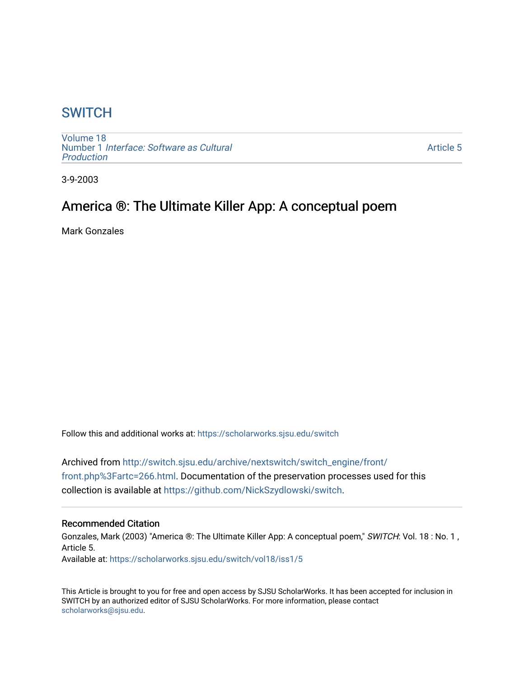## **SWITCH**

[Volume 18](https://scholarworks.sjsu.edu/switch/vol18) Number 1 [Interface: Software as Cultural](https://scholarworks.sjsu.edu/switch/vol18/iss1)  [Production](https://scholarworks.sjsu.edu/switch/vol18/iss1)

[Article 5](https://scholarworks.sjsu.edu/switch/vol18/iss1/5) 

3-9-2003

# America ®: The Ultimate Killer App: A conceptual poem

Mark Gonzales

Follow this and additional works at: [https://scholarworks.sjsu.edu/switch](https://scholarworks.sjsu.edu/switch?utm_source=scholarworks.sjsu.edu%2Fswitch%2Fvol18%2Fiss1%2F5&utm_medium=PDF&utm_campaign=PDFCoverPages)

Archived from [http://switch.sjsu.edu/archive/nextswitch/switch\\_engine/front/](http://switch.sjsu.edu/archive/nextswitch/switch_engine/front/front.php%3Fartc=266.html) [front.php%3Fartc=266.html.](http://switch.sjsu.edu/archive/nextswitch/switch_engine/front/front.php%3Fartc=266.html) Documentation of the preservation processes used for this collection is available at [https://github.com/NickSzydlowski/switch.](https://github.com/NickSzydlowski/switch)

## Recommended Citation

Gonzales, Mark (2003) "America ®: The Ultimate Killer App: A conceptual poem," SWITCH: Vol. 18 : No. 1, Article 5. Available at: [https://scholarworks.sjsu.edu/switch/vol18/iss1/5](https://scholarworks.sjsu.edu/switch/vol18/iss1/5?utm_source=scholarworks.sjsu.edu%2Fswitch%2Fvol18%2Fiss1%2F5&utm_medium=PDF&utm_campaign=PDFCoverPages) 

This Article is brought to you for free and open access by SJSU ScholarWorks. It has been accepted for inclusion in SWITCH by an authorized editor of SJSU ScholarWorks. For more information, please contact [scholarworks@sjsu.edu](mailto:scholarworks@sjsu.edu).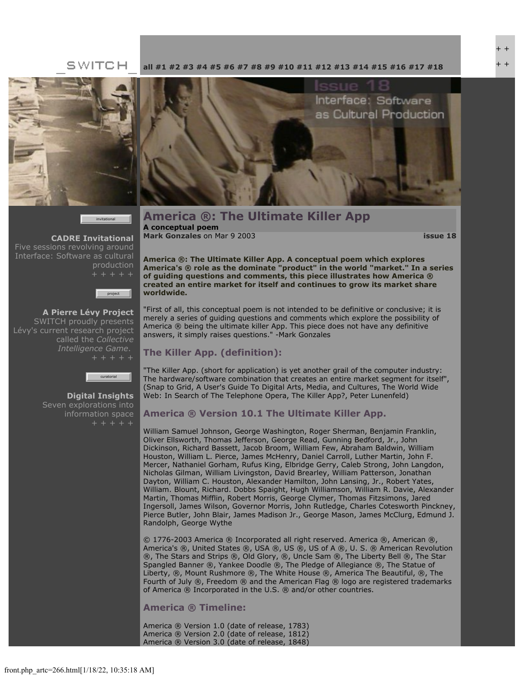## SWITCH





**[CADRE Invitational](file:///Users/nszydlowski/Desktop/websites%20copy/Switch%20Journal/switch.sjsu.edu/archive/nextswitch/switch_engine/front/front.php_cat%3d45.html)** Five sessions revolving around Interface: Software as cultural production



**[A Pierre Lévy Project](file:///Users/nszydlowski/Desktop/websites%20copy/Switch%20Journal/switch.sjsu.edu/archive/nextswitch/switch_engine/front/front.php_cat%3d48.html)** SWITCH proudly presents Lévy's current research project called the *Collective Intelligence Game*.



**[Digital Insights](file:///Users/nszydlowski/Desktop/websites%20copy/Switch%20Journal/switch.sjsu.edu/archive/nextswitch/switch_engine/front/front.php_cat%3d46.html)** Seven explorations into information space

#### **[all](file:///Users/nszydlowski/Desktop/websites%20copy/Switch%20Journal/switch.sjsu.edu/archive/nextswitch/switch_engine/front/front.php.html) [#1](file:///Users/nszydlowski/Desktop/websites%20copy/Switch%20Journal/switch.sjsu.edu/archive/nextswitch/switch_engine/front/front.php_cat%3d5.html) [#2](file:///Users/nszydlowski/Desktop/websites%20copy/Switch%20Journal/switch.sjsu.edu/archive/nextswitch/switch_engine/front/front.php_cat%3d6.html) [#3](file:///Users/nszydlowski/Desktop/websites%20copy/Switch%20Journal/switch.sjsu.edu/archive/nextswitch/switch_engine/front/front.php_cat%3d7.html) [#4](file:///Users/nszydlowski/Desktop/websites%20copy/Switch%20Journal/switch.sjsu.edu/archive/nextswitch/switch_engine/front/front.php_cat%3d8.html) [#5](file:///Users/nszydlowski/Desktop/websites%20copy/Switch%20Journal/switch.sjsu.edu/archive/nextswitch/switch_engine/front/front.php_cat%3d9.html) [#6](file:///Users/nszydlowski/Desktop/websites%20copy/Switch%20Journal/switch.sjsu.edu/archive/nextswitch/switch_engine/front/front.php_cat%3d10.html) [#7](file:///Users/nszydlowski/Desktop/websites%20copy/Switch%20Journal/switch.sjsu.edu/archive/nextswitch/switch_engine/front/front.php_cat%3d11.html) [#8](file:///Users/nszydlowski/Desktop/websites%20copy/Switch%20Journal/switch.sjsu.edu/archive/nextswitch/switch_engine/front/front.php_cat%3d12.html) [#9](file:///Users/nszydlowski/Desktop/websites%20copy/Switch%20Journal/switch.sjsu.edu/archive/nextswitch/switch_engine/front/front.php_cat%3d13.html) [#10](file:///Users/nszydlowski/Desktop/websites%20copy/Switch%20Journal/switch.sjsu.edu/archive/nextswitch/switch_engine/front/front.php_cat%3d14.html) [#11](file:///Users/nszydlowski/Desktop/websites%20copy/Switch%20Journal/switch.sjsu.edu/archive/nextswitch/switch_engine/front/front.php_cat%3d15.html) [#12](file:///Users/nszydlowski/Desktop/websites%20copy/Switch%20Journal/switch.sjsu.edu/archive/nextswitch/switch_engine/front/front.php_cat%3d16.html) [#13](file:///Users/nszydlowski/Desktop/websites%20copy/Switch%20Journal/switch.sjsu.edu/archive/nextswitch/switch_engine/front/front.php_cat%3d17.html) [#14](file:///Users/nszydlowski/Desktop/websites%20copy/Switch%20Journal/switch.sjsu.edu/archive/nextswitch/switch_engine/front/front.php_cat%3d18.html) [#15](file:///Users/nszydlowski/Desktop/websites%20copy/Switch%20Journal/switch.sjsu.edu/archive/nextswitch/switch_engine/front/front.php_cat%3d19.html) [#16](file:///Users/nszydlowski/Desktop/websites%20copy/Switch%20Journal/switch.sjsu.edu/archive/nextswitch/switch_engine/front/front.php_cat%3d20.html) [#17](file:///Users/nszydlowski/Desktop/websites%20copy/Switch%20Journal/switch.sjsu.edu/archive/nextswitch/switch_engine/front/front.php_cat%3d21.html) [#18](file:///Users/nszydlowski/Desktop/websites%20copy/Switch%20Journal/switch.sjsu.edu/archive/nextswitch/switch_engine/front/front.php_cat%3d44.html)**



**America ®: The Ultimate Killer App A conceptual poem [Mark Gonzales](file:///Users/nszydlowski/Desktop/websites%20copy/Switch%20Journal/switch.sjsu.edu/archive/nextswitch/switch_engine/front/users.php_w%3d21.html)** on Mar 9 2003 **[issue 18](file:///Users/nszydlowski/Desktop/websites%20copy/Switch%20Journal/switch.sjsu.edu/archive/nextswitch/switch_engine/front/front.php_cat%3d44.html)**

**America ®: The Ultimate Killer App. A conceptual poem which explores America's ® role as the dominate "product" in the world "market." In a series of guiding questions and comments, this piece illustrates how America ® created an entire market for itself and continues to grow its market share worldwide.** 

"First of all, this conceptual poem is not intended to be definitive or conclusive; it is merely a series of guiding questions and comments which explore the possibility of America ® being the ultimate killer App. This piece does not have any definitive answers, it simply raises questions." -Mark Gonzales

## **The Killer App. (definition):**

"The Killer App. (short for application) is yet another grail of the computer industry: The hardware/software combination that creates an entire market segment for itself", (Snap to Grid, A User's Guide To Digital Arts, Media, and Cultures, The World Wide Web: In Search of The Telephone Opera, The Killer App?, Peter Lunenfeld)

## **America ® Version 10.1 The Ultimate Killer App.**

William Samuel Johnson, George Washington, Roger Sherman, Benjamin Franklin, Oliver Ellsworth, Thomas Jefferson, George Read, Gunning Bedford, Jr., John Dickinson, Richard Bassett, Jacob Broom, William Few, Abraham Baldwin, William Houston, William L. Pierce, James McHenry, Daniel Carroll, Luther Martin, John F. Mercer, Nathaniel Gorham, Rufus King, Elbridge Gerry, Caleb Strong, John Langdon, Nicholas Gilman, William Livingston, David Brearley, William Patterson, Jonathan Dayton, William C. Houston, Alexander Hamilton, John Lansing, Jr., Robert Yates, William. Blount, Richard. Dobbs Spaight, Hugh Williamson, William R. Davie, Alexander Martin, Thomas Mifflin, Robert Morris, George Clymer, Thomas Fitzsimons, Jared Ingersoll, James Wilson, Governor Morris, John Rutledge, Charles Cotesworth Pinckney, Pierce Butler, John Blair, James Madison Jr., George Mason, James McClurg, Edmund J. Randolph, George Wythe

© 1776-2003 America ® Incorporated all right reserved. America ®, American ®, America's ®, United States ®, USA ®, US ®, US of A ®, U. S. ® American Revolution ®, The Stars and Strips ®, Old Glory, ®, Uncle Sam ®, The Liberty Bell ®, The Star Spangled Banner ®, Yankee Doodle ®, The Pledge of Allegiance ®, The Statue of Liberty, ®, Mount Rushmore ®, The White House ®, America The Beautiful, ®, The Fourth of July ®, Freedom ® and the American Flag ® logo are registered trademarks of America ® Incorporated in the U.S. ® and/or other countries.

## **America ® Timeline:**

America ® Version 1.0 (date of release, 1783) America ® Version 2.0 (date of release, 1812) America ® Version 3.0 (date of release, 1848)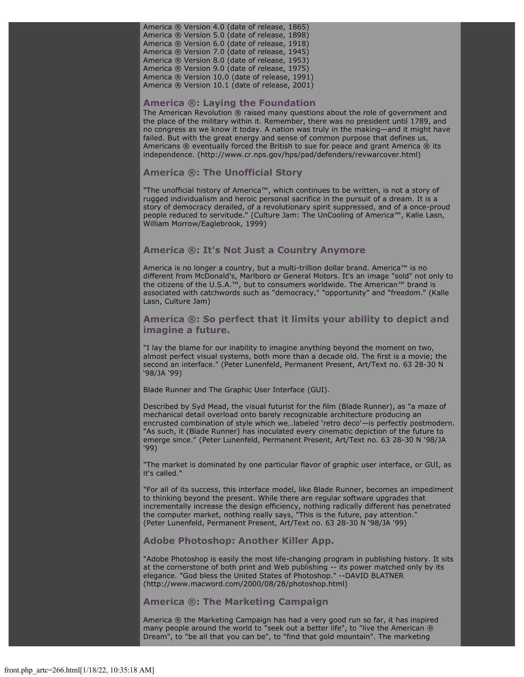America ® Version 4.0 (date of release, 1865) America ® Version 5.0 (date of release, 1898) America ® Version 6.0 (date of release, 1918) America ® Version 7.0 (date of release, 1945) America ® Version 8.0 (date of release, 1953) America ® Version 9.0 (date of release, 1975) America ® Version 10.0 (date of release, 1991) America ® Version 10.1 (date of release, 2001)

#### **America ®: Laying the Foundation**

The American Revolution ® raised many questions about the role of government and the place of the military within it. Remember, there was no president until 1789, and no congress as we know it today. A nation was truly in the making—and it might have failed. But with the great energy and sense of common purpose that defines us, Americans ® eventually forced the British to sue for peace and grant America ® its independence. (http://www.cr.nps.gov/hps/pad/defenders/revwarcover.html)

#### **America ®: The Unofficial Story**

"The unofficial history of America™, which continues to be written, is not a story of rugged individualism and heroic personal sacrifice in the pursuit of a dream. It is a story of democracy derailed, of a revolutionary spirit suppressed, and of a once-proud people reduced to servitude." (Culture Jam: The UnCooling of America™, Kalle Lasn, William Morrow/Eaglebrook, 1999)

#### **America ®: It's Not Just a Country Anymore**

America is no longer a country, but a multi-trillion dollar brand. America™ is no different from McDonald's, Marlboro or General Motors. It's an image "sold" not only to the citizens of the U.S.A.™, but to consumers worldwide. The American™ brand is associated with catchwords such as "democracy," "opportunity" and "freedom." (Kalle Lasn, Culture Jam)

### **America ®: So perfect that it limits your ability to depict and imagine a future.**

"I lay the blame for our inability to imagine anything beyond the moment on two, almost perfect visual systems, both more than a decade old. The first is a movie; the second an interface." (Peter Lunenfeld, Permanent Present, Art/Text no. 63 28-30 N '98/JA '99)

Blade Runner and The Graphic User Interface (GUI).

Described by Syd Mead, the visual futurist for the film (Blade Runner), as "a maze of mechanical detail overload onto barely recognizable architecture producing an encrusted combination of style which we…labeled 'retro deco'—is perfectly postmodern. "As such, it (Blade Runner) has inoculated every cinematic depiction of the future to emerge since." (Peter Lunenfeld, Permanent Present, Art/Text no. 63 28-30 N '98/JA '99)

"The market is dominated by one particular flavor of graphic user interface, or GUI, as it's called."

"For all of its success, this interface model, like Blade Runner, becomes an impediment to thinking beyond the present. While there are regular software upgrades that incrementally increase the design efficiency, nothing radically different has penetrated the computer market, nothing really says, "This is the future, pay attention." (Peter Lunenfeld, Permanent Present, Art/Text no. 63 28-30 N '98/JA '99)

#### **Adobe Photoshop: Another Killer App.**

"Adobe Photoshop is easily the most life-changing program in publishing history. It sits at the cornerstone of both print and Web publishing -- its power matched only by its elegance. "God bless the United States of Photoshop." --DAVID BLATNER (http://www.macword.com/2000/08/28/photoshop.html)

#### **America ®: The Marketing Campaign**

America ® the Marketing Campaign has had a very good run so far, it has inspired many people around the world to "seek out a better life", to "live the American ® Dream", to "be all that you can be", to "find that gold mountain". The marketing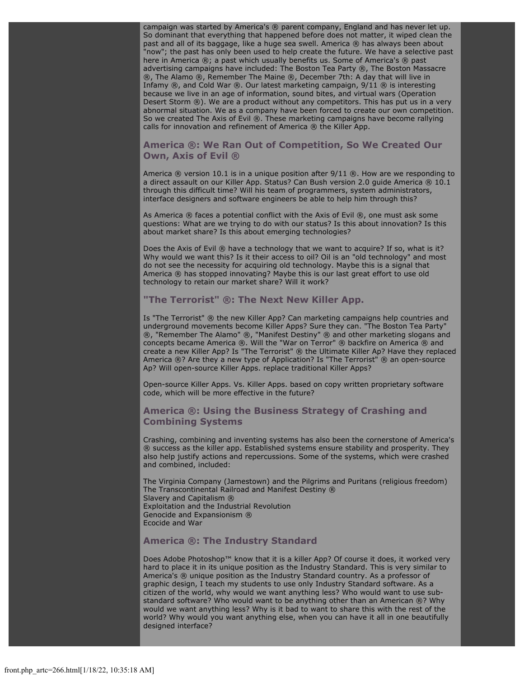campaign was started by America's ® parent company, England and has never let up. So dominant that everything that happened before does not matter, it wiped clean the past and all of its baggage, like a huge sea swell. America ® has always been about "now"; the past has only been used to help create the future. We have a selective past here in America ®; a past which usually benefits us. Some of America's ® past advertising campaigns have included: The Boston Tea Party ®, The Boston Massacre ®, The Alamo ®, Remember The Maine ®, December 7th: A day that will live in Infamy  $\circledR$ , and Cold War  $\circledR$ . Our latest marketing campaign,  $9/11$   $\circledR$  is interesting because we live in an age of information, sound bites, and virtual wars (Operation Desert Storm ®). We are a product without any competitors. This has put us in a very abnormal situation. We as a company have been forced to create our own competition. So we created The Axis of Evil ®. These marketing campaigns have become rallying calls for innovation and refinement of America ® the Killer App.

### **America ®: We Ran Out of Competition, So We Created Our Own, Axis of Evil ®**

America  $\circledR$  version 10.1 is in a unique position after  $9/11 \circledR$ . How are we responding to a direct assault on our Killer App. Status? Can Bush version 2.0 guide America  $@10.1$ through this difficult time? Will his team of programmers, system administrators, interface designers and software engineers be able to help him through this?

As America ® faces a potential conflict with the Axis of Evil ®, one must ask some questions: What are we trying to do with our status? Is this about innovation? Is this about market share? Is this about emerging technologies?

Does the Axis of Evil ® have a technology that we want to acquire? If so, what is it? Why would we want this? Is it their access to oil? Oil is an "old technology" and most do not see the necessity for acquiring old technology. Maybe this is a signal that America ® has stopped innovating? Maybe this is our last great effort to use old technology to retain our market share? Will it work?

## **"The Terrorist" ®: The Next New Killer App.**

Is "The Terrorist" ® the new Killer App? Can marketing campaigns help countries and underground movements become Killer Apps? Sure they can. "The Boston Tea Party" ®, "Remember The Alamo" ®, "Manifest Destiny" ® and other marketing slogans and concepts became America ®. Will the "War on Terror" ® backfire on America ® and create a new Killer App? Is "The Terrorist" ® the Ultimate Killer Ap? Have they replaced America ®? Are they a new type of Application? Is "The Terrorist" ® an open-source Ap? Will open-source Killer Apps. replace traditional Killer Apps?

Open-source Killer Apps. Vs. Killer Apps. based on copy written proprietary software code, which will be more effective in the future?

### **America ®: Using the Business Strategy of Crashing and Combining Systems**

Crashing, combining and inventing systems has also been the cornerstone of America's ® success as the killer app. Established systems ensure stability and prosperity. They also help justify actions and repercussions. Some of the systems, which were crashed and combined, included:

The Virginia Company (Jamestown) and the Pilgrims and Puritans (religious freedom) The Transcontinental Railroad and Manifest Destiny ® Slavery and Capitalism ® Exploitation and the Industrial Revolution Genocide and Expansionism ® Ecocide and War

#### **America ®: The Industry Standard**

Does Adobe Photoshop™ know that it is a killer App? Of course it does, it worked very hard to place it in its unique position as the Industry Standard. This is very similar to America's ® unique position as the Industry Standard country. As a professor of graphic design, I teach my students to use only Industry Standard software. As a citizen of the world, why would we want anything less? Who would want to use substandard software? Who would want to be anything other than an American ®? Why would we want anything less? Why is it bad to want to share this with the rest of the world? Why would you want anything else, when you can have it all in one beautifully designed interface?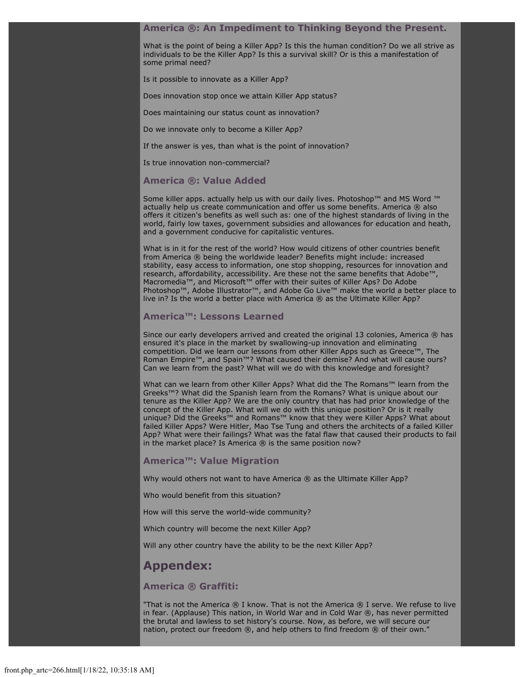#### **America ®: An Impediment to Thinking Beyond the Present.**

What is the point of being a Killer App? Is this the human condition? Do we all strive as individuals to be the Killer App? Is this a survival skill? Or is this a manifestation of some primal need?

Is it possible to innovate as a Killer App?

Does innovation stop once we attain Killer App status?

Does maintaining our status count as innovation?

Do we innovate only to become a Killer App?

If the answer is yes, than what is the point of innovation?

Is true innovation non-commercial?

#### **America ®: Value Added**

Some killer apps. actually help us with our daily lives. Photoshop™ and MS Word ™ actually help us create communication and offer us some benefits. America ® also offers it citizen's benefits as well such as: one of the highest standards of living in the world, fairly low taxes, government subsidies and allowances for education and heath, and a government conducive for capitalistic ventures.

What is in it for the rest of the world? How would citizens of other countries benefit from America ® being the worldwide leader? Benefits might include: increased stability, easy access to information, one stop shopping, resources for innovation and research, affordability, accessibility. Are these not the same benefits that Adobe™, Macromedia™, and Microsoft™ offer with their suites of Killer Aps? Do Adobe Photoshop™, Adobe Illustrator™, and Adobe Go Live™ make the world a better place to live in? Is the world a better place with America ® as the Ultimate Killer App?

#### **America™: Lessons Learned**

Since our early developers arrived and created the original 13 colonies, America ® has ensured it's place in the market by swallowing-up innovation and eliminating competition. Did we learn our lessons from other Killer Apps such as Greece™, The Roman Empire™, and Spain™? What caused their demise? And what will cause ours? Can we learn from the past? What will we do with this knowledge and foresight?

What can we learn from other Killer Apps? What did the The Romans™ learn from the Greeks™? What did the Spanish learn from the Romans? What is unique about our tenure as the Killer App? We are the only country that has had prior knowledge of the concept of the Killer App. What will we do with this unique position? Or is it really unique? Did the Greeks™ and Romans™ know that they were Killer Apps? What about failed Killer Apps? Were Hitler, Mao Tse Tung and others the architects of a failed Killer App? What were their failings? What was the fatal flaw that caused their products to fail in the market place? Is America  $\mathcal{R}$  is the same position now?

#### **America™: Value Migration**

Why would others not want to have America ® as the Ultimate Killer App?

Who would benefit from this situation?

How will this serve the world-wide community?

Which country will become the next Killer App?

Will any other country have the ability to be the next Killer App?

## **Appendex:**

#### **America ® Graffiti:**

"That is not the America  $\circledR$  I know. That is not the America  $\circledR$  I serve. We refuse to live in fear. (Applause) This nation, in World War and in Cold War ®, has never permitted the brutal and lawless to set history's course. Now, as before, we will secure our nation, protect our freedom ®, and help others to find freedom ® of their own."